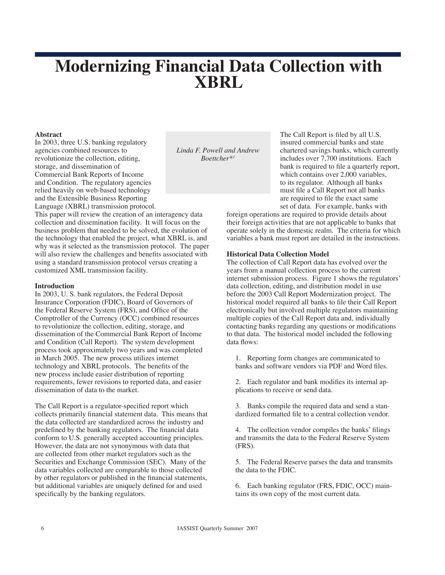# **Modernizing Financial Data Collection with XBRL**

## **Abstract**

In 2003, three U.S. banking regulatory agencies combined resources to revolutionize the collection, editing, storage, and dissemination of Commercial Bank Reports of Income and Condition. The regulatory agencies relied heavily on web-based technology and the Extensible Business Reporting Language (XBRL) transmission protocol.

*Linda F. Powell and Andrew Boettcher\*1*

The Call Report is filed by all U.S. insured commercial banks and state chartered savings banks, which currently includes over 7,700 institutions. Each bank is required to file a quarterly report, which contains over 2,000 variables, to its regulator. Although all banks must file a Call Report not all banks are required to file the exact same set of data. For example, banks with

foreign operations are required to provide details about their foreign activities that are not applicable to banks that operate solely in the domestic realm. The criteria for which variables a bank must report are detailed in the instructions.

## **Historical Data Collection Model**

The collection of Call Report data has evolved over the years from a manual collection process to the current internet submission process. Figure 1 shows the regulators' data collection, editing, and distribution model in use before the 2003 Call Report Modernization project. The historical model required all banks to file their Call Report electronically but involved multiple regulators maintaining multiple copies of the Call Report data and, individually contacting banks regarding any questions or modifications to that data. The historical model included the following data flows:

1. Reporting form changes are communicated to banks and software vendors via PDF and Word files.

2. Each regulator and bank modifies its internal applications to receive or send data.

3. Banks compile the required data and send a standardized formatted file to a central collection vendor.

4. The collection vendor compiles the banks' filings and transmits the data to the Federal Reserve System (FRS).

5. The Federal Reserve parses the data and transmits the data to the FDIC.

6. Each banking regulator (FRS, FDIC, OCC) maintains its own copy of the most current data.

This paper will review the creation of an interagency data collection and dissemination facility. It will focus on the business problem that needed to be solved, the evolution of the technology that enabled the project, what XBRL is, and why was it selected as the transmission protocol. The paper will also review the challenges and benefits associated with using a standard transmission protocol versus creating a customized XML transmission facility.

### **Introduction**

In 2003, U. S. bank regulators, the Federal Deposit Insurance Corporation (FDIC), Board of Governors of the Federal Reserve System (FRS), and Office of the Comptroller of the Currency (OCC) combined resources to revolutionize the collection, editing, storage, and dissemination of the Commercial Bank Report of Income and Condition (Call Report). The system development process took approximately two years and was completed in March 2005. The new process utilizes internet technology and XBRL protocols. The benefits of the new process include easier distribution of reporting requirements, fewer revisions to reported data, and easier dissemination of data to the market.

The Call Report is a regulator-specified report which collects primarily financial statement data. This means that the data collected are standardized across the industry and predefined by the banking regulators. The financial data conform to U.S. generally accepted accounting principles. However, the data are not synonymous with data that are collected from other market regulators such as the Securities and Exchange Commission (SEC). Many of the data variables collected are comparable to those collected by other regulators or published in the financial statements, but additional variables are uniquely defined for and used specifically by the banking regulators.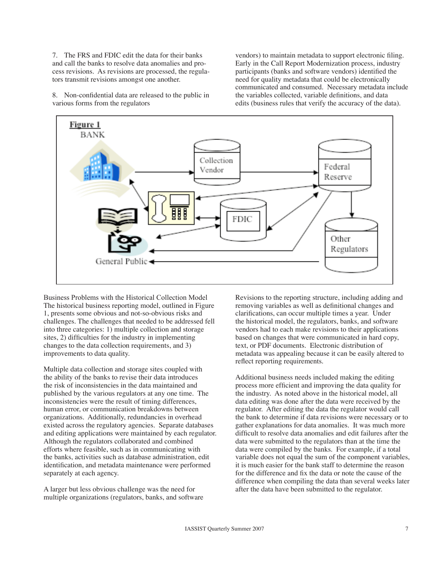7. The FRS and FDIC edit the data for their banks and call the banks to resolve data anomalies and process revisions. As revisions are processed, the regulators transmit revisions amongst one another.

8. Non-confidential data are released to the public in various forms from the regulators

vendors) to maintain metadata to support electronic filing. Early in the Call Report Modernization process, industry participants (banks and software vendors) identified the need for quality metadata that could be electronically communicated and consumed. Necessary metadata include the variables collected, variable definitions, and data edits (business rules that verify the accuracy of the data).



Business Problems with the Historical Collection Model The historical business reporting model, outlined in Figure 1, presents some obvious and not-so-obvious risks and challenges. The challenges that needed to be addressed fell into three categories: 1) multiple collection and storage sites, 2) difficulties for the industry in implementing changes to the data collection requirements, and 3) improvements to data quality.

Multiple data collection and storage sites coupled with the ability of the banks to revise their data introduces the risk of inconsistencies in the data maintained and published by the various regulators at any one time. The inconsistencies were the result of timing differences, human error, or communication breakdowns between organizations. Additionally, redundancies in overhead existed across the regulatory agencies. Separate databases and editing applications were maintained by each regulator. Although the regulators collaborated and combined efforts where feasible, such as in communicating with the banks, activities such as database administration, edit identification, and metadata maintenance were performed separately at each agency.

A larger but less obvious challenge was the need for multiple organizations (regulators, banks, and software Revisions to the reporting structure, including adding and removing variables as well as definitional changes and clarifications, can occur multiple times a year. Under the historical model, the regulators, banks, and software vendors had to each make revisions to their applications based on changes that were communicated in hard copy, text, or PDF documents. Electronic distribution of metadata was appealing because it can be easily altered to reflect reporting requirements.

Additional business needs included making the editing process more efficient and improving the data quality for the industry. As noted above in the historical model, all data editing was done after the data were received by the regulator. After editing the data the regulator would call the bank to determine if data revisions were necessary or to gather explanations for data anomalies. It was much more difficult to resolve data anomalies and edit failures after the data were submitted to the regulators than at the time the data were compiled by the banks. For example, if a total variable does not equal the sum of the component variables, it is much easier for the bank staff to determine the reason for the difference and fix the data or note the cause of the difference when compiling the data than several weeks later after the data have been submitted to the regulator.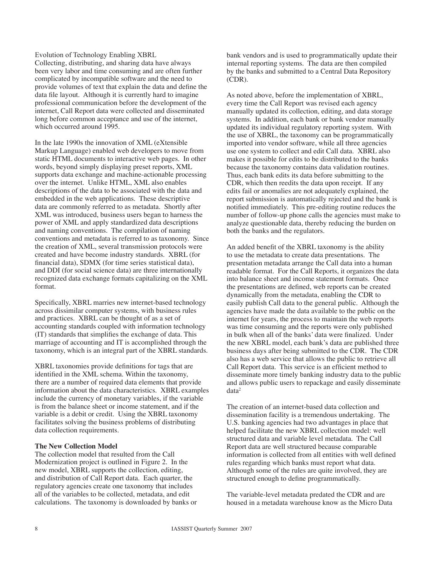#### Evolution of Technology Enabling XBRL

Collecting, distributing, and sharing data have always been very labor and time consuming and are often further complicated by incompatible software and the need to provide volumes of text that explain the data and define the data file layout. Although it is currently hard to imagine professional communication before the development of the internet, Call Report data were collected and disseminated long before common acceptance and use of the internet, which occurred around 1995.

In the late 1990s the innovation of XML (eXtensible Markup Language) enabled web developers to move from static HTML documents to interactive web pages. In other words, beyond simply displaying preset reports, XML supports data exchange and machine-actionable processing over the internet. Unlike HTML, XML also enables descriptions of the data to be associated with the data and embedded in the web applications. These descriptive data are commonly referred to as metadata. Shortly after XML was introduced, business users began to harness the power of XML and apply standardized data descriptions and naming conventions. The compilation of naming conventions and metadata is referred to as taxonomy. Since the creation of XML, several transmission protocols were created and have become industry standards. XBRL (for financial data), SDMX (for time series statistical data), and DDI (for social science data) are three internationally recognized data exchange formats capitalizing on the XML format.

Specifically, XBRL marries new internet-based technology across dissimilar computer systems, with business rules and practices. XBRL can be thought of as a set of accounting standards coupled with information technology (IT) standards that simplifies the exchange of data. This marriage of accounting and IT is accomplished through the taxonomy, which is an integral part of the XBRL standards.

XBRL taxonomies provide definitions for tags that are identified in the XML schema. Within the taxonomy, there are a number of required data elements that provide information about the data characteristics. XBRL examples include the currency of monetary variables, if the variable is from the balance sheet or income statement, and if the variable is a debit or credit. Using the XBRL taxonomy facilitates solving the business problems of distributing data collection requirements.

#### **The New Collection Model**

The collection model that resulted from the Call Modernization project is outlined in Figure 2. In the new model, XBRL supports the collection, editing, and distribution of Call Report data. Each quarter, the regulatory agencies create one taxonomy that includes all of the variables to be collected, metadata, and edit calculations. The taxonomy is downloaded by banks or bank vendors and is used to programmatically update their internal reporting systems. The data are then compiled by the banks and submitted to a Central Data Repository (CDR).

As noted above, before the implementation of XBRL, every time the Call Report was revised each agency manually updated its collection, editing, and data storage systems. In addition, each bank or bank vendor manually updated its individual regulatory reporting system. With the use of XBRL, the taxonomy can be programmatically imported into vendor software, while all three agencies use one system to collect and edit Call data. XBRL also makes it possible for edits to be distributed to the banks because the taxonomy contains data validation routines. Thus, each bank edits its data before submitting to the CDR, which then reedits the data upon receipt. If any edits fail or anomalies are not adequately explained, the report submission is automatically rejected and the bank is notified immediately. This pre-editing routine reduces the number of follow-up phone calls the agencies must make to analyze questionable data, thereby reducing the burden on both the banks and the regulators.

An added benefit of the XBRL taxonomy is the ability to use the metadata to create data presentations. The presentation metadata arrange the Call data into a human readable format. For the Call Reports, it organizes the data into balance sheet and income statement formats. Once the presentations are defined, web reports can be created dynamically from the metadata, enabling the CDR to easily publish Call data to the general public. Although the agencies have made the data available to the public on the internet for years, the process to maintain the web reports was time consuming and the reports were only published in bulk when all of the banks' data were finalized. Under the new XBRL model, each bank's data are published three business days after being submitted to the CDR. The CDR also has a web service that allows the public to retrieve all Call Report data. This service is an efficient method to disseminate more timely banking industry data to the public and allows public users to repackage and easily disseminate data2

The creation of an internet-based data collection and dissemination facility is a tremendous undertaking. The U.S. banking agencies had two advantages in place that helped facilitate the new XBRL collection model: well structured data and variable level metadata. The Call Report data are well structured because comparable information is collected from all entities with well defined rules regarding which banks must report what data. Although some of the rules are quite involved, they are structured enough to define programmatically.

The variable-level metadata predated the CDR and are housed in a metadata warehouse know as the Micro Data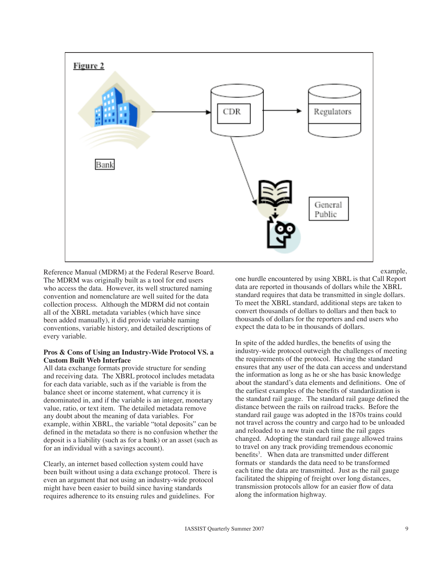

Reference Manual (MDRM) at the Federal Reserve Board. The MDRM was originally built as a tool for end users who access the data. However, its well structured naming convention and nomenclature are well suited for the data collection process. Although the MDRM did not contain all of the XBRL metadata variables (which have since been added manually), it did provide variable naming conventions, variable history, and detailed descriptions of every variable.

### **Pros & Cons of Using an Industry-Wide Protocol VS. a Custom Built Web Interface**

All data exchange formats provide structure for sending and receiving data. The XBRL protocol includes metadata for each data variable, such as if the variable is from the balance sheet or income statement, what currency it is denominated in, and if the variable is an integer, monetary value, ratio, or text item. The detailed metadata remove any doubt about the meaning of data variables. For example, within XBRL, the variable "total deposits" can be defined in the metadata so there is no confusion whether the deposit is a liability (such as for a bank) or an asset (such as for an individual with a savings account).

Clearly, an internet based collection system could have been built without using a data exchange protocol. There is even an argument that not using an industry-wide protocol might have been easier to build since having standards requires adherence to its ensuing rules and guidelines. For

example,

one hurdle encountered by using XBRL is that Call Report data are reported in thousands of dollars while the XBRL standard requires that data be transmitted in single dollars. To meet the XBRL standard, additional steps are taken to convert thousands of dollars to dollars and then back to thousands of dollars for the reporters and end users who expect the data to be in thousands of dollars.

In spite of the added hurdles, the benefits of using the industry-wide protocol outweigh the challenges of meeting the requirements of the protocol. Having the standard ensures that any user of the data can access and understand the information as long as he or she has basic knowledge about the standard's data elements and definitions. One of the earliest examples of the benefits of standardization is the standard rail gauge. The standard rail gauge defined the distance between the rails on railroad tracks. Before the standard rail gauge was adopted in the 1870s trains could not travel across the country and cargo had to be unloaded and reloaded to a new train each time the rail gages changed. Adopting the standard rail gauge allowed trains to travel on any track providing tremendous economic benefits<sup>3</sup>. When data are transmitted under different formats or standards the data need to be transformed each time the data are transmitted. Just as the rail gauge facilitated the shipping of freight over long distances, transmission protocols allow for an easier flow of data along the information highway.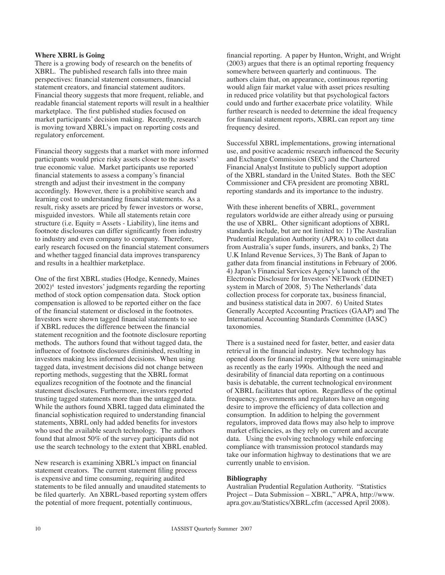#### **Where XBRL is Going**

There is a growing body of research on the benefits of XBRL. The published research falls into three main perspectives: financial statement consumers, financial statement creators, and financial statement auditors. Financial theory suggests that more frequent, reliable, and readable financial statement reports will result in a healthier marketplace. The first published studies focused on market participants' decision making. Recently, research is moving toward XBRL's impact on reporting costs and regulatory enforcement.

Financial theory suggests that a market with more informed participants would price risky assets closer to the assets' true economic value. Market participants use reported financial statements to assess a company's financial strength and adjust their investment in the company accordingly. However, there is a prohibitive search and learning cost to understanding financial statements. As a result, risky assets are priced by fewer investors or worse, misguided investors. While all statements retain core structure (i.e. Equity = Assets - Liability), line items and footnote disclosures can differ significantly from industry to industry and even company to company. Therefore, early research focused on the financial statement consumers and whether tagged financial data improves transparency and results in a healthier marketplace.

One of the first XBRL studies (Hodge, Kennedy, Maines 2002)4 tested investors' judgments regarding the reporting method of stock option compensation data. Stock option compensation is allowed to be reported either on the face of the financial statement or disclosed in the footnotes. Investors were shown tagged financial statements to see if XBRL reduces the difference between the financial statement recognition and the footnote disclosure reporting methods. The authors found that without tagged data, the influence of footnote disclosures diminished, resulting in investors making less informed decisions. When using tagged data, investment decisions did not change between reporting methods, suggesting that the XBRL format equalizes recognition of the footnote and the financial statement disclosures. Furthermore, investors reported trusting tagged statements more than the untagged data. While the authors found XBRL tagged data eliminated the financial sophistication required to understanding financial statements, XBRL only had added benefits for investors who used the available search technology. The authors found that almost 50% of the survey participants did not use the search technology to the extent that XBRL enabled.

New research is examining XBRL's impact on financial statement creators. The current statement filing process is expensive and time consuming, requiring audited statements to be filed annually and unaudited statements to be filed quarterly. An XBRL-based reporting system offers the potential of more frequent, potentially continuous,

financial reporting. A paper by Hunton, Wright, and Wright (2003) argues that there is an optimal reporting frequency somewhere between quarterly and continuous. The authors claim that, on appearance, continuous reporting would align fair market value with asset prices resulting in reduced price volatility but that psychological factors could undo and further exacerbate price volatility. While further research is needed to determine the ideal frequency for financial statement reports, XBRL can report any time frequency desired.

Successful XBRL implementations, growing international use, and positive academic research influenced the Security and Exchange Commission (SEC) and the Chartered Financial Analyst Institute to publicly support adoption of the XBRL standard in the United States. Both the SEC Commissioner and CFA president are promoting XBRL reporting standards and its importance to the industry.

With these inherent benefits of XBRL, government regulators worldwide are either already using or pursuing the use of XBRL. Other significant adoptions of XBRL standards include, but are not limited to: 1) The Australian Prudential Regulation Authority (APRA) to collect data from Australia's super funds, insurers, and banks, 2) The U.K Inland Revenue Services, 3) The Bank of Japan to gather data from financial institutions in February of 2006. 4) Japan's Financial Services Agency's launch of the Electronic Disclosure for Investors' NETwork (EDINET) system in March of 2008, 5) The Netherlands' data collection process for corporate tax, business financial, and business statistical data in 2007. 6) United States Generally Accepted Accounting Practices (GAAP) and The International Accounting Standards Committee (IASC) taxonomies.

There is a sustained need for faster, better, and easier data retrieval in the financial industry. New technology has opened doors for financial reporting that were unimaginable as recently as the early 1990s. Although the need and desirability of financial data reporting on a continuous basis is debatable, the current technological environment of XBRL facilitates that option. Regardless of the optimal frequency, governments and regulators have an ongoing desire to improve the efficiency of data collection and consumption. In addition to helping the government regulators, improved data flows may also help to improve market efficiencies, as they rely on current and accurate data. Using the evolving technology while enforcing compliance with transmission protocol standards may take our information highway to destinations that we are currently unable to envision.

#### **Bibliography**

Australian Prudential Regulation Authority. "Statistics Project – Data Submission – XBRL," APRA, http://www. apra.gov.au/Statistics/XBRL.cfm (accessed April 2008).